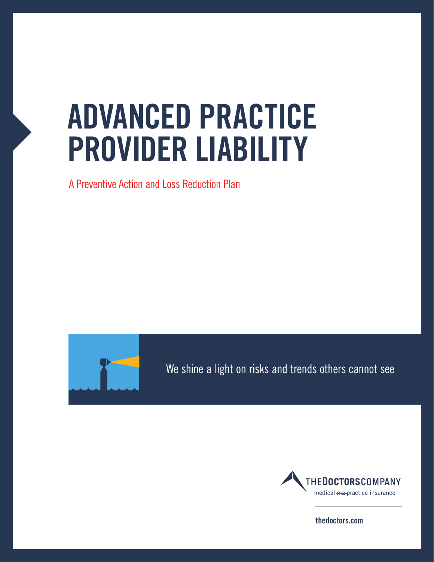# **ADVANCED PRACTICE PROVIDER LIABILITY**

A Preventive Action and Loss Reduction Plan



We shine a light on risks and trends others cannot see We shine a light on risks and trends others cannot see



**thedoctors.com**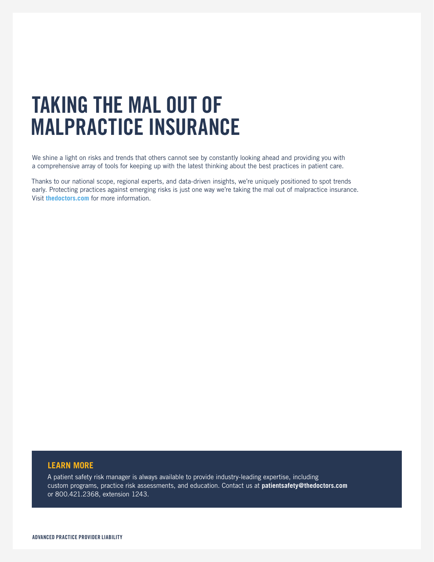# **TAKING THE MAL OUT OF MALPRACTICE INSURANCE**

We shine a light on risks and trends that others cannot see by constantly looking ahead and providing you with a comprehensive array of tools for keeping up with the latest thinking about the best practices in patient care.

Thanks to our national scope, regional experts, and data-driven insights, we're uniquely positioned to spot trends early. Protecting practices against emerging risks is just one way we're taking the mal out of malpractice insurance. Visit **thedoctors.com** for more information.

### **LEARN MORE**

A patient safety risk manager is always available to provide industry-leading expertise, including custom programs, practice risk assessments, and education. Contact us at **patientsafety@thedoctors.com**  or 800.421.2368, extension 1243.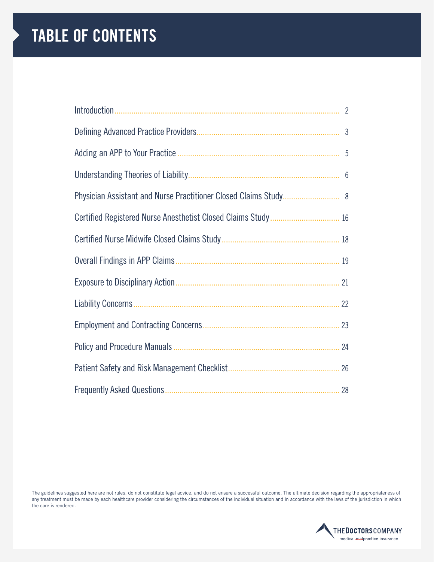# **TABLE OF CONTENTS**

| $\mathbf{3}$ |
|--------------|
|              |
|              |
|              |
|              |
|              |
|              |
|              |
|              |
|              |
|              |
|              |
|              |

The guidelines suggested here are not rules, do not constitute legal advice, and do not ensure a successful outcome. The ultimate decision regarding the appropriateness of any treatment must be made by each healthcare provider considering the circumstances of the individual situation and in accordance with the laws of the jurisdiction in which the care is rendered.

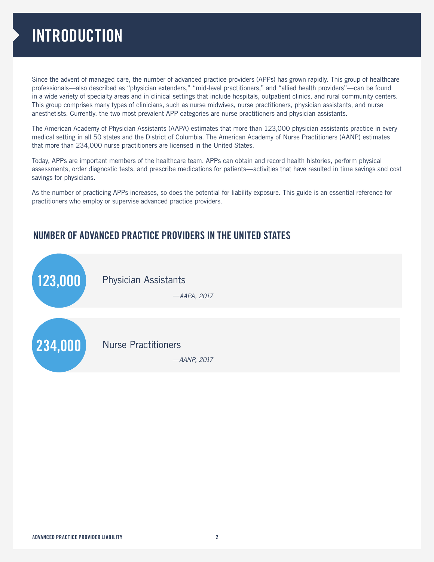# **INTRODUCTION**

Since the advent of managed care, the number of advanced practice providers (APPs) has grown rapidly. This group of healthcare professionals—also described as "physician extenders," "mid-level practitioners," and "allied health providers"—can be found in a wide variety of specialty areas and in clinical settings that include hospitals, outpatient clinics, and rural community centers. This group comprises many types of clinicians, such as nurse midwives, nurse practitioners, physician assistants, and nurse anesthetists. Currently, the two most prevalent APP categories are nurse practitioners and physician assistants.

The American Academy of Physician Assistants (AAPA) estimates that more than 123,000 physician assistants practice in every medical setting in all 50 states and the District of Columbia. The American Academy of Nurse Practitioners (AANP) estimates that more than 234,000 nurse practitioners are licensed in the United States.

Today, APPs are important members of the healthcare team. APPs can obtain and record health histories, perform physical assessments, order diagnostic tests, and prescribe medications for patients—activities that have resulted in time savings and cost savings for physicians.

As the number of practicing APPs increases, so does the potential for liability exposure. This guide is an essential reference for practitioners who employ or supervise advanced practice providers.

### **NUMBER OF ADVANCED PRACTICE PROVIDERS IN THE UNITED STATES**

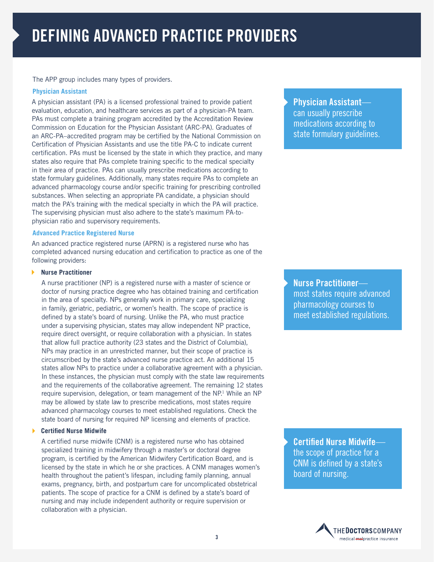The APP group includes many types of providers.

### **Physician Assistant**

A physician assistant (PA) is a licensed professional trained to provide patient evaluation, education, and healthcare services as part of a physician-PA team. PAs must complete a training program accredited by the Accreditation Review Commission on Education for the Physician Assistant (ARC-PA). Graduates of an ARC-PA–accredited program may be certified by the National Commission on Certification of Physician Assistants and use the title PA-C to indicate current certification. PAs must be licensed by the state in which they practice, and many states also require that PAs complete training specific to the medical specialty in their area of practice. PAs can usually prescribe medications according to state formulary guidelines. Additionally, many states require PAs to complete an advanced pharmacology course and/or specific training for prescribing controlled substances. When selecting an appropriate PA candidate, a physician should match the PA's training with the medical specialty in which the PA will practice. The supervising physician must also adhere to the state's maximum PA-tophysician ratio and supervisory requirements.

### **Advanced Practice Registered Nurse**

An advanced practice registered nurse (APRN) is a registered nurse who has completed advanced nursing education and certification to practice as one of the following providers:

#### **Nurse Practitioner**

A nurse practitioner (NP) is a registered nurse with a master of science or doctor of nursing practice degree who has obtained training and certification in the area of specialty. NPs generally work in primary care, specializing in family, geriatric, pediatric, or women's health. The scope of practice is defined by a state's board of nursing. Unlike the PA, who must practice under a supervising physician, states may allow independent NP practice, require direct oversight, or require collaboration with a physician. In states that allow full practice authority (23 states and the District of Columbia), NPs may practice in an unrestricted manner, but their scope of practice is circumscribed by the state's advanced nurse practice act. An additional 15 states allow NPs to practice under a collaborative agreement with a physician. In these instances, the physician must comply with the state law requirements and the requirements of the collaborative agreement. The remaining 12 states require supervision, delegation, or team management of the NP.<sup>1</sup> While an NP may be allowed by state law to prescribe medications, most states require advanced pharmacology courses to meet established regulations. Check the state board of nursing for required NP licensing and elements of practice.

### **Certified Nurse Midwife**

A certified nurse midwife (CNM) is a registered nurse who has obtained specialized training in midwifery through a master's or doctoral degree program, is certified by the American Midwifery Certification Board, and is licensed by the state in which he or she practices. A CNM manages women's health throughout the patient's lifespan, including family planning, annual exams, pregnancy, birth, and postpartum care for uncomplicated obstetrical patients. The scope of practice for a CNM is defined by a state's board of nursing and may include independent authority or require supervision or collaboration with a physician.

**Physician Assistant** can usually prescribe medications according to state formulary guidelines.

**Nurse Practitioner** most states require advanced pharmacology courses to meet established regulations.

**Certified Nurse Midwife** the scope of practice for a CNM is defined by a state's board of nursing.

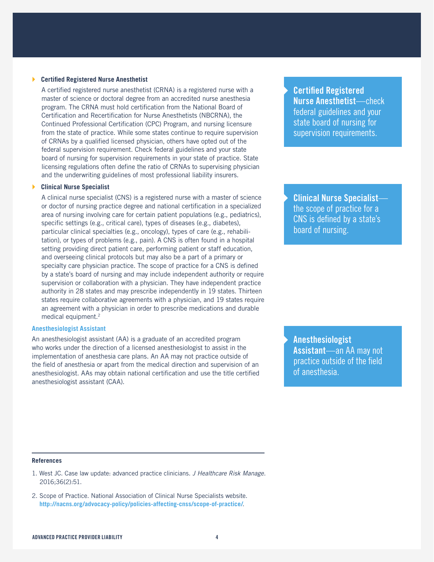#### **Certified Registered Nurse Anesthetist**

A certified registered nurse anesthetist (CRNA) is a registered nurse with a master of science or doctoral degree from an accredited nurse anesthesia program. The CRNA must hold certification from the National Board of Certification and Recertification for Nurse Anesthetists (NBCRNA), the Continued Professional Certification (CPC) Program, and nursing licensure from the state of practice. While some states continue to require supervision of CRNAs by a qualified licensed physician, others have opted out of the federal supervision requirement. Check federal guidelines and your state board of nursing for supervision requirements in your state of practice. State licensing regulations often define the ratio of CRNAs to supervising physician and the underwriting guidelines of most professional liability insurers.

### **Clinical Nurse Specialist**

A clinical nurse specialist (CNS) is a registered nurse with a master of science or doctor of nursing practice degree and national certification in a specialized area of nursing involving care for certain patient populations (e.g., pediatrics), specific settings (e.g., critical care), types of diseases (e.g., diabetes), particular clinical specialties (e.g., oncology), types of care (e.g., rehabilitation), or types of problems (e.g., pain). A CNS is often found in a hospital setting providing direct patient care, performing patient or staff education, and overseeing clinical protocols but may also be a part of a primary or specialty care physician practice. The scope of practice for a CNS is defined by a state's board of nursing and may include independent authority or require supervision or collaboration with a physician. They have independent practice authority in 28 states and may prescribe independently in 19 states. Thirteen states require collaborative agreements with a physician, and 19 states require an agreement with a physician in order to prescribe medications and durable medical equipment.2

### **Anesthesiologist Assistant**

An anesthesiologist assistant (AA) is a graduate of an accredited program who works under the direction of a licensed anesthesiologist to assist in the implementation of anesthesia care plans. An AA may not practice outside of the field of anesthesia or apart from the medical direction and supervision of an anesthesiologist. AAs may obtain national certification and use the title certified anesthesiologist assistant (CAA).

**Certified Registered Nurse Anesthetist**—check federal guidelines and your state board of nursing for supervision requirements.

**Clinical Nurse Specialist** the scope of practice for a CNS is defined by a state's board of nursing.

**Anesthesiologist Assistant**—an AA may not practice outside of the field of anesthesia.

#### **References**

- 1. West JC. Case law update: advanced practice clinicians. *J Healthcare Risk Manage*. 2016;36(2):51.
- 2. Scope of Practice. National Association of Clinical Nurse Specialists website. **http://nacns.org/advocacy-policy/policies-affecting-cnss/scope-of-practice/**.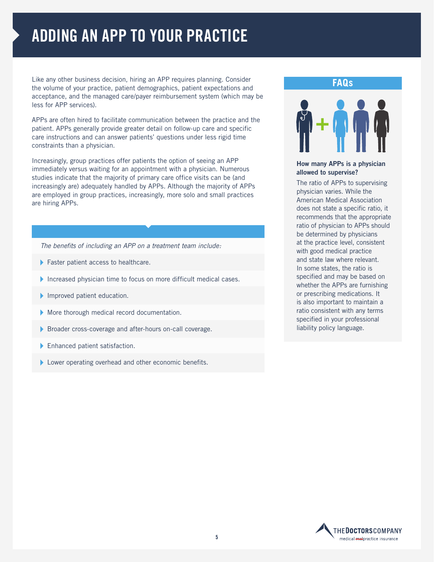# **ADDING AN APP TO YOUR PRACTICE**

Like any other business decision, hiring an APP requires planning. Consider the volume of your practice, patient demographics, patient expectations and acceptance, and the managed care/payer reimbursement system (which may be less for APP services).

APPs are often hired to facilitate communication between the practice and the patient. APPs generally provide greater detail on follow-up care and specific care instructions and can answer patients' questions under less rigid time constraints than a physician.

Increasingly, group practices offer patients the option of seeing an APP immediately versus waiting for an appointment with a physician. Numerous studies indicate that the majority of primary care office visits can be (and increasingly are) adequately handled by APPs. Although the majority of APPs are employed in group practices, increasingly, more solo and small practices are hiring APPs.

*The benefits of including an APP on a treatment team include:* 

- Faster patient access to healthcare.
- Increased physician time to focus on more difficult medical cases.
- Improved patient education.
- More thorough medical record documentation.
- Broader cross-coverage and after-hours on-call coverage.
- Enhanced patient satisfaction.
- **Lower operating overhead and other economic benefits.**

### **FAQs**



### **How many APPs is a physician allowed to supervise?**

The ratio of APPs to supervising physician varies. While the American Medical Association does not state a specific ratio, it recommends that the appropriate ratio of physician to APPs should be determined by physicians at the practice level, consistent with good medical practice and state law where relevant. In some states, the ratio is specified and may be based on whether the APPs are furnishing or prescribing medications. It is also important to maintain a ratio consistent with any terms specified in your professional liability policy language.

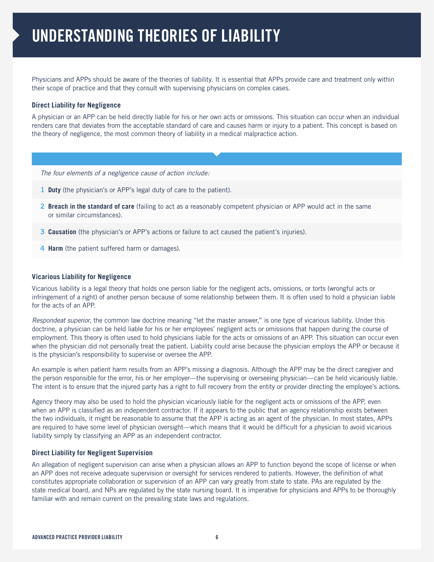Physicians and APPs should be aware of the theories of liability. It is essential that APPs provide care and treatment only within their scope of practice and that they consult with supervising physicians on complex cases.

### **Direct Liability for Negligence**

A physician or an APP can be held directly liable for his or her own acts or omissions. This situation can occur when an individual renders care that deviates from the acceptable standard of care and causes harm or injury to a patient. This concept is based on the theory of negligence, the most common theory of liability in a medical malpractice action.

*The four elements of a negligence cause of action include:* 

- **1 Duty** (the physician's or APP's legal duty of care to the patient).
- **2 Breach in the standard of care** (failing to act as a reasonably competent physician or APP would act in the same or similar circumstances).
- **3 Causation** (the physician's or APP's actions or failure to act caused the patient's injuries).
- **4 Harm** (the patient suffered harm or damages).

### **Vicarious Liability for Negligence**

Vicarious liability is a legal theory that holds one person liable for the negligent acts, omissions, or torts (wrongful acts or infringement of a right) of another person because of some relationship between them. It is often used to hold a physician liable for the acts of an APP.

*Respondeat superior*, the common law doctrine meaning "let the master answer," is one type of vicarious liability. Under this doctrine, a physician can be held liable for his or her employees' negligent acts or omissions that happen during the course of employment. This theory is often used to hold physicians liable for the acts or omissions of an APP. This situation can occur even when the physician did not personally treat the patient. Liability could arise because the physician employs the APP or because it is the physician's responsibility to supervise or oversee the APP.

An example is when patient harm results from an APP's missing a diagnosis. Although the APP may be the direct caregiver and the person responsible for the error, his or her employer—the supervising or overseeing physician—can be held vicariously liable. The intent is to ensure that the injured party has a right to full recovery from the entity or provider directing the employee's actions.

Agency theory may also be used to hold the physician vicariously liable for the negligent acts or omissions of the APP, even when an APP is classified as an independent contractor. If it appears to the public that an agency relationship exists between the two individuals, it might be reasonable to assume that the APP is acting as an agent of the physician. In most states, APPs are required to have some level of physician oversight—which means that it would be difficult for a physician to avoid vicarious liability simply by classifying an APP as an independent contractor.

### **Direct Liability for Negligent Supervision**

An allegation of negligent supervision can arise when a physician allows an APP to function beyond the scope of license or when an APP does not receive adequate supervision or oversight for services rendered to patients. However, the definition of what constitutes appropriate collaboration or supervision of an APP can vary greatly from state to state. PAs are regulated by the state medical board, and NPs are regulated by the state nursing board. It is imperative for physicians and APPs to be thoroughly familiar with and remain current on the prevailing state laws and regulations.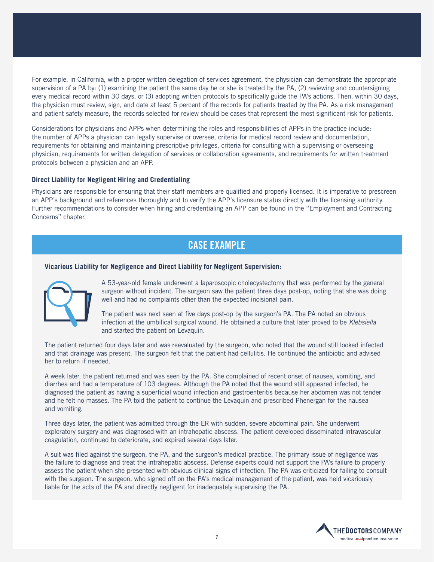For example, in California, with a proper written delegation of services agreement, the physician can demonstrate the appropriate supervision of a PA by: (1) examining the patient the same day he or she is treated by the PA, (2) reviewing and countersigning every medical record within 30 days, or (3) adopting written protocols to specifically guide the PA's actions. Then, within 30 days, the physician must review, sign, and date at least 5 percent of the records for patients treated by the PA. As a risk management and patient safety measure, the records selected for review should be cases that represent the most significant risk for patients.

Considerations for physicians and APPs when determining the roles and responsibilities of APPs in the practice include: the number of APPs a physician can legally supervise or oversee, criteria for medical record review and documentation, requirements for obtaining and maintaining prescriptive privileges, criteria for consulting with a supervising or overseeing physician, requirements for written delegation of services or collaboration agreements, and requirements for written treatment protocols between a physician and an APP.

#### **Direct Liability for Negligent Hiring and Credentialing**

Physicians are responsible for ensuring that their staff members are qualified and properly licensed. It is imperative to prescreen an APP's background and references thoroughly and to verify the APP's licensure status directly with the licensing authority. Further recommendations to consider when hiring and credentialing an APP can be found in the "Employment and Contracting Concerns" chapter.

### **CASE EXAMPLE**

#### **Vicarious Liability for Negligence and Direct Liability for Negligent Supervision:**



A 53-year-old female underwent a laparoscopic cholecystectomy that was performed by the general surgeon without incident. The surgeon saw the patient three days post-op, noting that she was doing well and had no complaints other than the expected incisional pain.

The patient was next seen at five days post-op by the surgeon's PA. The PA noted an obvious infection at the umbilical surgical wound. He obtained a culture that later proved to be *Klebsiella* and started the patient on Levaquin.

The patient returned four days later and was reevaluated by the surgeon, who noted that the wound still looked infected and that drainage was present. The surgeon felt that the patient had cellulitis. He continued the antibiotic and advised her to return if needed.

A week later, the patient returned and was seen by the PA. She complained of recent onset of nausea, vomiting, and diarrhea and had a temperature of 103 degrees. Although the PA noted that the wound still appeared infected, he diagnosed the patient as having a superficial wound infection and gastroenteritis because her abdomen was not tender and he felt no masses. The PA told the patient to continue the Levaquin and prescribed Phenergan for the nausea and vomiting.

Three days later, the patient was admitted through the ER with sudden, severe abdominal pain. She underwent exploratory surgery and was diagnosed with an intrahepatic abscess. The patient developed disseminated intravascular coagulation, continued to deteriorate, and expired several days later.

A suit was filed against the surgeon, the PA, and the surgeon's medical practice. The primary issue of negligence was the failure to diagnose and treat the intrahepatic abscess. Defense experts could not support the PA's failure to properly assess the patient when she presented with obvious clinical signs of infection. The PA was criticized for failing to consult with the surgeon. The surgeon, who signed off on the PA's medical management of the patient, was held vicariously liable for the acts of the PA and directly negligent for inadequately supervising the PA.

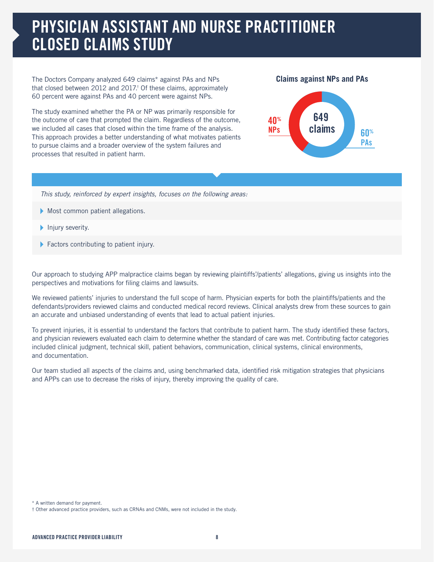# **PHYSICIAN ASSISTANT AND NURSE PRACTITIONER CLOSED CLAIMS STUDY**

The Doctors Company analyzed 649 claims\* against PAs and NPs that closed between 2012 and 2017.† Of these claims, approximately 60 percent were against PAs and 40 percent were against NPs.

The study examined whether the PA or NP was primarily responsible for the outcome of care that prompted the claim. Regardless of the outcome, we included all cases that closed within the time frame of the analysis. This approach provides a better understanding of what motivates patients to pursue claims and a broader overview of the system failures and processes that resulted in patient harm.





*This study, reinforced by expert insights, focuses on the following areas:* 

- Most common patient allegations.
- $\blacktriangleright$  Injury severity.
- Factors contributing to patient injury.

Our approach to studying APP malpractice claims began by reviewing plaintiffs'/patients' allegations, giving us insights into the perspectives and motivations for filing claims and lawsuits.

We reviewed patients' injuries to understand the full scope of harm. Physician experts for both the plaintiffs/patients and the defendants/providers reviewed claims and conducted medical record reviews. Clinical analysts drew from these sources to gain an accurate and unbiased understanding of events that lead to actual patient injuries.

To prevent injuries, it is essential to understand the factors that contribute to patient harm. The study identified these factors, and physician reviewers evaluated each claim to determine whether the standard of care was met. Contributing factor categories included clinical judgment, technical skill, patient behaviors, communication, clinical systems, clinical environments, and documentation.

Our team studied all aspects of the claims and, using benchmarked data, identified risk mitigation strategies that physicians and APPs can use to decrease the risks of injury, thereby improving the quality of care.

<sup>\*</sup> A written demand for payment.

<sup>†</sup> Other advanced practice providers, such as CRNAs and CNMs, were not included in the study.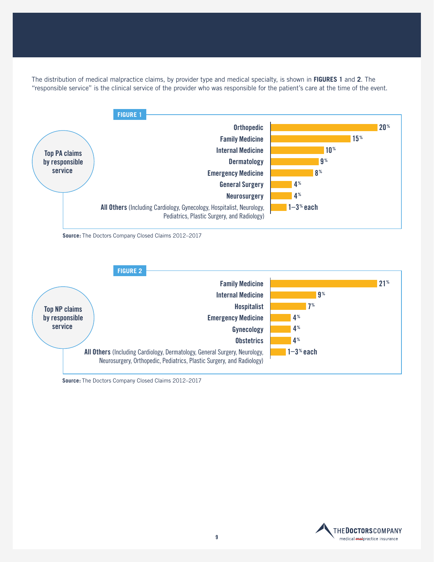The distribution of medical malpractice claims, by provider type and medical specialty, is shown in **FIGURES 1** and **2**. The "responsible service" is the clinical service of the provider who was responsible for the patient's care at the time of the event.



**Source:** The Doctors Company Closed Claims 2012–2017



**Source:** The Doctors Company Closed Claims 2012–2017

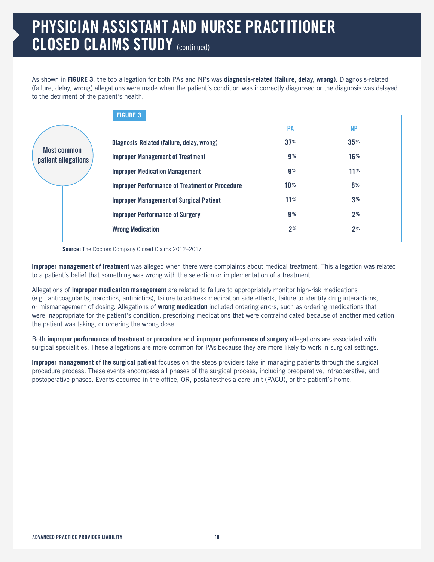# **PHYSICIAN ASSISTANT AND NURSE PRACTITIONER CLOSED CLAIMS STUDY** (continued)

As shown in **FIGURE 3**, the top allegation for both PAs and NPs was **diagnosis-related (failure, delay, wrong)**. Diagnosis-related (failure, delay, wrong) allegations were made when the patient's condition was incorrectly diagnosed or the diagnosis was delayed to the detriment of the patient's health.

|                                           | <b>FIGURE 3</b>                                       |                 |                |  |
|-------------------------------------------|-------------------------------------------------------|-----------------|----------------|--|
|                                           |                                                       | <b>PA</b>       | <b>NP</b>      |  |
| <b>Most common</b><br>patient allegations | Diagnosis-Related (failure, delay, wrong)             | 37%             | 35%            |  |
|                                           | <b>Improper Management of Treatment</b>               | $9\%$           | 16%            |  |
|                                           | <b>Improper Medication Management</b>                 | $9\%$           | 11%            |  |
|                                           | <b>Improper Performance of Treatment or Procedure</b> | 10 <sup>%</sup> | 8 <sup>%</sup> |  |
|                                           | <b>Improper Management of Surgical Patient</b>        | 11%             | 3%             |  |
|                                           | <b>Improper Performance of Surgery</b>                | $9\%$           | $2^{\circ}$    |  |
|                                           | <b>Wrong Medication</b>                               | 2 <sup>%</sup>  | 2 <sup>%</sup> |  |
|                                           |                                                       |                 |                |  |

**Source:** The Doctors Company Closed Claims 2012–2017

**Improper management of treatment** was alleged when there were complaints about medical treatment. This allegation was related to a patient's belief that something was wrong with the selection or implementation of a treatment.

Allegations of **improper medication management** are related to failure to appropriately monitor high-risk medications (e.g., anticoagulants, narcotics, antibiotics), failure to address medication side effects, failure to identify drug interactions, or mismanagement of dosing. Allegations of **wrong medication** included ordering errors, such as ordering medications that were inappropriate for the patient's condition, prescribing medications that were contraindicated because of another medication the patient was taking, or ordering the wrong dose.

Both **improper performance of treatment or procedure** and **improper performance of surgery** allegations are associated with surgical specialities. These allegations are more common for PAs because they are more likely to work in surgical settings.

**Improper management of the surgical patient** focuses on the steps providers take in managing patients through the surgical procedure process. These events encompass all phases of the surgical process, including preoperative, intraoperative, and postoperative phases. Events occurred in the office, OR, postanesthesia care unit (PACU), or the patient's home.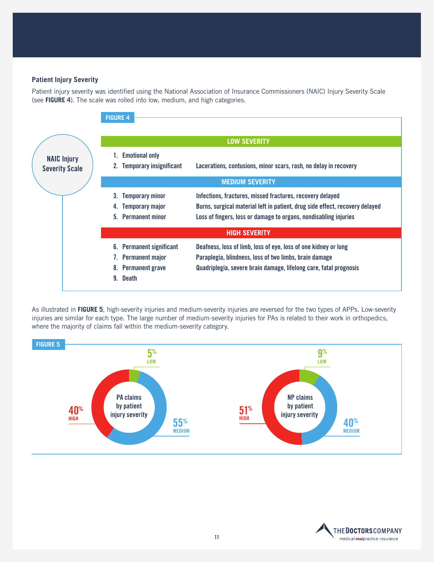### **Patient Injury Severity**

Patient injury severity was identified using the National Association of Insurance Commissioners (NAIC) Injury Severity Scale (see **FIGURE 4**). The scale was rolled into low, medium, and high categories.



As illustrated in **FIGURE 5**, high-severity injuries and medium-severity injuries are reversed for the two types of APPs. Low-severity injuries are similar for each type. The large number of medium-severity injuries for PAs is related to their work in orthopedics, where the majority of claims fall within the medium-severity category.



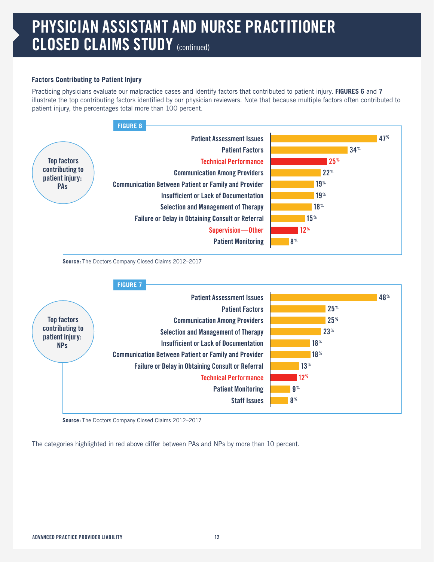# **PHYSICIAN ASSISTANT AND NURSE PRACTITIONER CLOSED CLAIMS STUDY** (continued)

### **Factors Contributing to Patient Injury**

Practicing physicians evaluate our malpractice cases and identify factors that contributed to patient injury. **FIGURES 6** and **7** illustrate the top contributing factors identified by our physician reviewers. Note that because multiple factors often contributed to patient injury, the percentages total more than 100 percent.





**Source:** The Doctors Company Closed Claims 2012–2017

The categories highlighted in red above differ between PAs and NPs by more than 10 percent.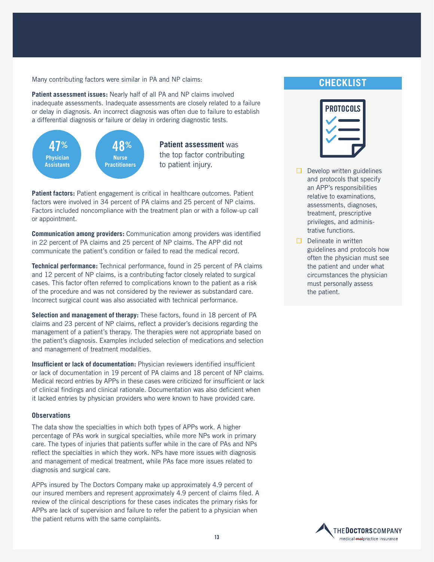Many contributing factors were similar in PA and NP claims:

**Patient assessment issues:** Nearly half of all PA and NP claims involved inadequate assessments. Inadequate assessments are closely related to a failure or delay in diagnosis. An incorrect diagnosis was often due to failure to establish a differential diagnosis or failure or delay in ordering diagnostic tests.



Patient factors: Patient engagement is critical in healthcare outcomes. Patient factors were involved in 34 percent of PA claims and 25 percent of NP claims. Factors included noncompliance with the treatment plan or with a follow-up call or appointment.

**Communication among providers:** Communication among providers was identified in 22 percent of PA claims and 25 percent of NP claims. The APP did not communicate the patient's condition or failed to read the medical record.

**Technical performance:** Technical performance, found in 25 percent of PA claims and 12 percent of NP claims, is a contributing factor closely related to surgical cases. This factor often referred to complications known to the patient as a risk of the procedure and was not considered by the reviewer as substandard care. Incorrect surgical count was also associated with technical performance.

**Selection and management of therapy:** These factors, found in 18 percent of PA claims and 23 percent of NP claims, reflect a provider's decisions regarding the management of a patient's therapy. The therapies were not appropriate based on the patient's diagnosis. Examples included selection of medications and selection and management of treatment modalities.

**Insufficient or lack of documentation:** Physician reviewers identified insufficient or lack of documentation in 19 percent of PA claims and 18 percent of NP claims. Medical record entries by APPs in these cases were criticized for insufficient or lack of clinical findings and clinical rationale. Documentation was also deficient when it lacked entries by physician providers who were known to have provided care.

#### **Observations**

The data show the specialties in which both types of APPs work. A higher percentage of PAs work in surgical specialties, while more NPs work in primary care. The types of injuries that patients suffer while in the care of PAs and NPs reflect the specialties in which they work. NPs have more issues with diagnosis and management of medical treatment, while PAs face more issues related to diagnosis and surgical care.

APPs insured by The Doctors Company make up approximately 4.9 percent of our insured members and represent approximately 4.9 percent of claims filed. A review of the clinical descriptions for these cases indicates the primary risks for APPs are lack of supervision and failure to refer the patient to a physician when the patient returns with the same complaints.

### **CHECKLIST**



- $\Box$  Develop written guidelines and protocols that specify an APP's responsibilities relative to examinations, assessments, diagnoses, treatment, prescriptive privileges, and administrative functions.
- $\Box$  Delineate in written guidelines and protocols how often the physician must see the patient and under what circumstances the physician must personally assess the patient.

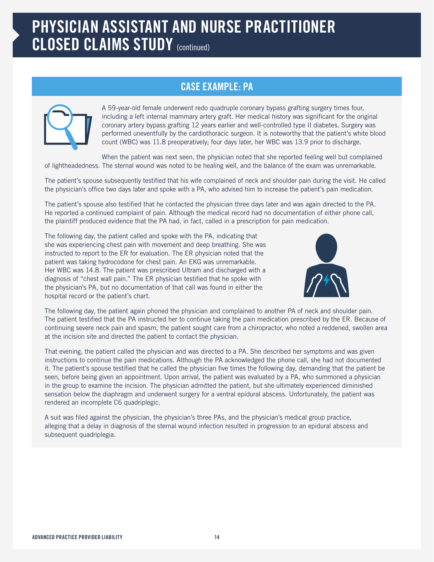# **PHYSICIAN ASSISTANT AND NURSE PRACTITIONER CLOSED CLAIMS STUDY** (continued)

### **CASE EXAMPLE: PA**



A 59-year-old female underwent redo quadruple coronary bypass grafting surgery times four, including a left internal mammary artery graft. Her medical history was significant for the original coronary artery bypass grafting 12 years earlier and well-controlled type II diabetes. Surgery was performed uneventfully by the cardiothoracic surgeon. It is noteworthy that the patient's white blood count (WBC) was 11.8 preoperatively; four days later, her WBC was 13.9 prior to discharge.

When the patient was next seen, the physician noted that she reported feeling well but complained of lightheadedness. The sternal wound was noted to be healing well, and the balance of the exam was unremarkable.

The patient's spouse subsequently testified that his wife complained of neck and shoulder pain during the visit. He called the physician's office two days later and spoke with a PA, who advised him to increase the patient's pain medication.

The patient's spouse also testified that he contacted the physician three days later and was again directed to the PA. He reported a continued complaint of pain. Although the medical record had no documentation of either phone call, the plaintiff produced evidence that the PA had, in fact, called in a prescription for pain medication.

The following day, the patient called and spoke with the PA, indicating that she was experiencing chest pain with movement and deep breathing. She was instructed to report to the ER for evaluation. The ER physician noted that the patient was taking hydrocodone for chest pain. An EKG was unremarkable. Her WBC was 14.8. The patient was prescribed Ultram and discharged with a diagnosis of "chest wall pain." The ER physician testified that he spoke with the physician's PA, but no documentation of that call was found in either the hospital record or the patient's chart.



The following day, the patient again phoned the physician and complained to another PA of neck and shoulder pain. The patient testified that the PA instructed her to continue taking the pain medication prescribed by the ER. Because of continuing severe neck pain and spasm, the patient sought care from a chiropractor, who noted a reddened, swollen area at the incision site and directed the patient to contact the physician.

That evening, the patient called the physician and was directed to a PA. She described her symptoms and was given instructions to continue the pain medications. Although the PA acknowledged the phone call, she had not documented it. The patient's spouse testified that he called the physician five times the following day, demanding that the patient be seen, before being given an appointment. Upon arrival, the patient was evaluated by a PA, who summoned a physician in the group to examine the incision. The physician admitted the patient, but she ultimately experienced diminished sensation below the diaphragm and underwent surgery for a ventral epidural abscess. Unfortunately, the patient was rendered an incomplete C6 quadriplegic.

A suit was filed against the physician, the physician's three PAs, and the physician's medical group practice, alleging that a delay in diagnosis of the sternal wound infection resulted in progression to an epidural abscess and subsequent quadriplegia.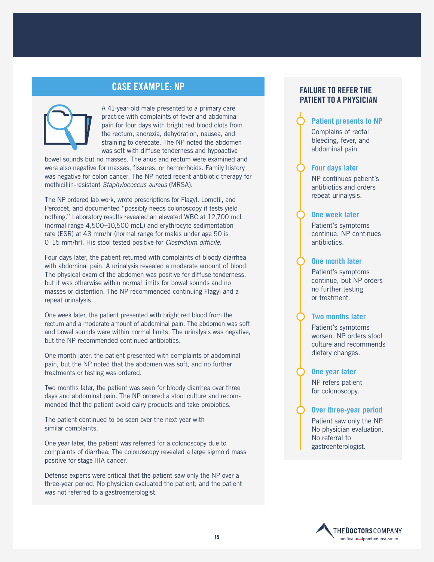### **CASE EXAMPLE: NP**



A 41-year-old male presented to a primary care practice with complaints of fever and abdominal pain for four days with bright red blood clots from the rectum, anorexia, dehydration, nausea, and straining to defecate. The NP noted the abdomen was soft with diffuse tenderness and hypoactive

bowel sounds but no masses. The anus and rectum were examined and were also negative for masses, fissures, or hemorrhoids. Family history was negative for colon cancer. The NP noted recent antibiotic therapy for methicillin-resistant *Staphylococcus aureus* (MRSA).

The NP ordered lab work, wrote prescriptions for Flagyl, Lomotil, and Percocet, and documented "possibly needs colonoscopy if tests yield nothing." Laboratory results revealed an elevated WBC at 12,700 mcL (normal range 4,500–10,500 mcL) and erythrocyte sedimentation rate (ESR) at 43 mm/hr (normal range for males under age 50 is 0–15 mm/hr). His stool tested positive for *Clostridium difficile*.

Four days later, the patient returned with complaints of bloody diarrhea with abdominal pain. A urinalysis revealed a moderate amount of blood. The physical exam of the abdomen was positive for diffuse tenderness, but it was otherwise within normal limits for bowel sounds and no masses or distention. The NP recommended continuing Flagyl and a repeat urinalysis.

One week later, the patient presented with bright red blood from the rectum and a moderate amount of abdominal pain. The abdomen was soft and bowel sounds were within normal limits. The urinalysis was negative, but the NP recommended continued antibiotics.

One month later, the patient presented with complaints of abdominal pain, but the NP noted that the abdomen was soft, and no further treatments or testing was ordered.

Two months later, the patient was seen for bloody diarrhea over three days and abdominal pain. The NP ordered a stool culture and recommended that the patient avoid dairy products and take probiotics.

The patient continued to be seen over the next year with similar complaints.

One year later, the patient was referred for a colonoscopy due to complaints of diarrhea. The colonoscopy revealed a large sigmoid mass positive for stage IIIA cancer.

Defense experts were critical that the patient saw only the NP over a three-year period. No physician evaluated the patient, and the patient was not referred to a gastroenterologist.

### **FAILURE TO REFER THE PATIENT TO A PHYSICIAN**

### **Patient presents to NP**

Complains of rectal bleeding, fever, and abdominal pain.

### **Four days later**

NP continues patient's antibiotics and orders repeat urinalysis.

### **One week later**

Patient's symptoms continue. NP continues antibiotics.

### **One month later**

Patient's symptoms continue, but NP orders no further testing or treatment.

### **Two months later**

Patient's symptoms worsen. NP orders stool culture and recommends dietary changes.

### **One year later**

NP refers patient for colonoscopy.

### **Over three-year period**

Patient saw only the NP. No physician evaluation. No referral to gastroenterologist.

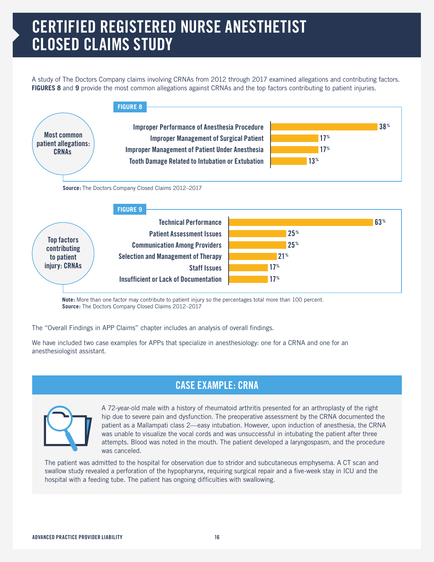# **CERTIFIED REGISTERED NURSE ANESTHETIST CLOSED CLAIMS STUDY**

A study of The Doctors Company claims involving CRNAs from 2012 through 2017 examined allegations and contributing factors. **FIGURES 8** and 9 provide the most common allegations against CRNAs and the top factors contributing to patient injuries.



**Note:** More than one factor may contribute to patient injury so the percentages total more than 100 percent. **Source:** The Doctors Company Closed Claims 2012–2017

The "Overall Findings in APP Claims" chapter includes an analysis of overall findings.

We have included two case examples for APPs that specialize in anesthesiology: one for a CRNA and one for an anesthesiologist assistant.

### **CASE EXAMPLE: CRNA**



A 72-year-old male with a history of rheumatoid arthritis presented for an arthroplasty of the right hip due to severe pain and dysfunction. The preoperative assessment by the CRNA documented the patient as a Mallampati class 2—easy intubation. However, upon induction of anesthesia, the CRNA was unable to visualize the vocal cords and was unsuccessful in intubating the patient after three attempts. Blood was noted in the mouth. The patient developed a laryngospasm, and the procedure was canceled.

The patient was admitted to the hospital for observation due to stridor and subcutaneous emphysema. A CT scan and swallow study revealed a perforation of the hypopharynx, requiring surgical repair and a five-week stay in ICU and the hospital with a feeding tube. The patient has ongoing difficulties with swallowing.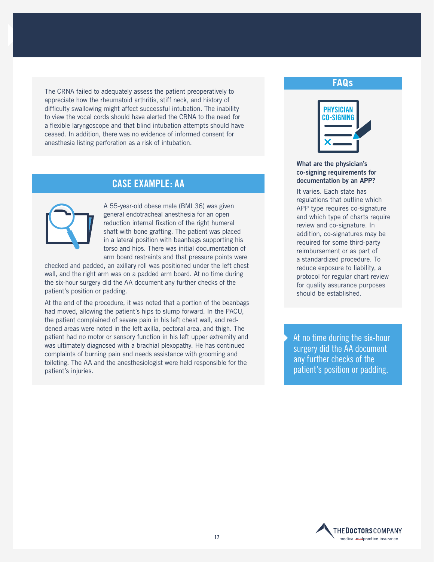The CRNA failed to adequately assess the patient preoperatively to appreciate how the rheumatoid arthritis, stiff neck, and history of difficulty swallowing might affect successful intubation. The inability to view the vocal cords should have alerted the CRNA to the need for a flexible laryngoscope and that blind intubation attempts should have ceased. In addition, there was no evidence of informed consent for anesthesia listing perforation as a risk of intubation.

### **CASE EXAMPLE: AA**



A 55-year-old obese male (BMI 36) was given general endotracheal anesthesia for an open reduction internal fixation of the right humeral shaft with bone grafting. The patient was placed in a lateral position with beanbags supporting his torso and hips. There was initial documentation of arm board restraints and that pressure points were

checked and padded, an axillary roll was positioned under the left chest wall, and the right arm was on a padded arm board. At no time during the six-hour surgery did the AA document any further checks of the patient's position or padding.

At the end of the procedure, it was noted that a portion of the beanbags had moved, allowing the patient's hips to slump forward. In the PACU, the patient complained of severe pain in his left chest wall, and reddened areas were noted in the left axilla, pectoral area, and thigh. The patient had no motor or sensory function in his left upper extremity and was ultimately diagnosed with a brachial plexopathy. He has continued complaints of burning pain and needs assistance with grooming and toileting. The AA and the anesthesiologist were held responsible for the patient's injuries.

### **FAQs**



### **What are the physician's co-signing requirements for documentation by an APP?**

It varies. Each state has regulations that outline which APP type requires co-signature and which type of charts require review and co-signature. In addition, co-signatures may be required for some third-party reimbursement or as part of a standardized procedure. To reduce exposure to liability, a protocol for regular chart review for quality assurance purposes should be established.

At no time during the six-hour surgery did the AA document any further checks of the patient's position or padding.

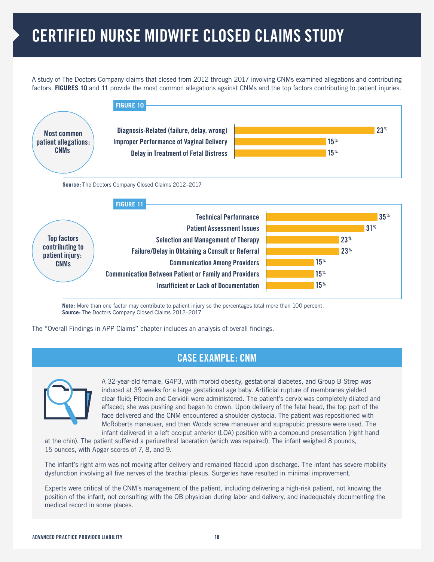# **CERTIFIED NURSE MIDWIFE CLOSED CLAIMS STUDY**

A study of The Doctors Company claims that closed from 2012 through 2017 involving CNMs examined allegations and contributing factors. **FIGURES 10** and **11** provide the most common allegations against CNMs and the top factors contributing to patient injuries.



**Note:** More than one factor may contribute to patient injury so the percentages total more than 100 percent. **Source:** The Doctors Company Closed Claims 2012–2017

The "Overall Findings in APP Claims" chapter includes an analysis of overall findings.

### **CASE EXAMPLE: CNM**



A 32-year-old female, G4P3, with morbid obesity, gestational diabetes, and Group B Strep was induced at 39 weeks for a large gestational age baby. Artificial rupture of membranes yielded clear fluid; Pitocin and Cervidil were administered. The patient's cervix was completely dilated and effaced; she was pushing and began to crown. Upon delivery of the fetal head, the top part of the face delivered and the CNM encountered a shoulder dystocia. The patient was repositioned with McRoberts maneuver, and then Woods screw maneuver and suprapubic pressure were used. The infant delivered in a left occiput anterior (LOA) position with a compound presentation (right hand

at the chin). The patient suffered a periurethral laceration (which was repaired). The infant weighed 8 pounds, 15 ounces, with Apgar scores of 7, 8, and 9.

The infant's right arm was not moving after delivery and remained flaccid upon discharge. The infant has severe mobility dysfunction involving all five nerves of the brachial plexus. Surgeries have resulted in minimal improvement.

Experts were critical of the CNM's management of the patient, including delivering a high-risk patient, not knowing the position of the infant, not consulting with the OB physician during labor and delivery, and inadequately documenting the medical record in some places.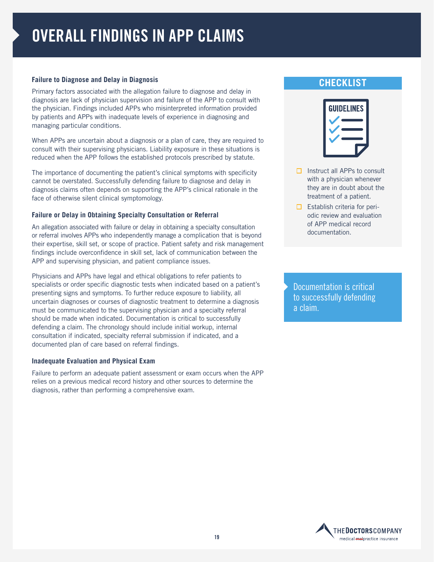# **OVERALL FINDINGS IN APP CLAIMS**

### **Failure to Diagnose and Delay in Diagnosis**

Primary factors associated with the allegation failure to diagnose and delay in diagnosis are lack of physician supervision and failure of the APP to consult with the physician. Findings included APPs who misinterpreted information provided by patients and APPs with inadequate levels of experience in diagnosing and managing particular conditions.

When APPs are uncertain about a diagnosis or a plan of care, they are required to consult with their supervising physicians. Liability exposure in these situations is reduced when the APP follows the established protocols prescribed by statute.

The importance of documenting the patient's clinical symptoms with specificity cannot be overstated. Successfully defending failure to diagnose and delay in diagnosis claims often depends on supporting the APP's clinical rationale in the face of otherwise silent clinical symptomology.

### **Failure or Delay in Obtaining Specialty Consultation or Referral**

An allegation associated with failure or delay in obtaining a specialty consultation or referral involves APPs who independently manage a complication that is beyond their expertise, skill set, or scope of practice. Patient safety and risk management findings include overconfidence in skill set, lack of communication between the APP and supervising physician, and patient compliance issues.

Physicians and APPs have legal and ethical obligations to refer patients to specialists or order specific diagnostic tests when indicated based on a patient's presenting signs and symptoms. To further reduce exposure to liability, all uncertain diagnoses or courses of diagnostic treatment to determine a diagnosis must be communicated to the supervising physician and a specialty referral should be made when indicated. Documentation is critical to successfully defending a claim. The chronology should include initial workup, internal consultation if indicated, specialty referral submission if indicated, and a documented plan of care based on referral findings.

### **Inadequate Evaluation and Physical Exam**

Failure to perform an adequate patient assessment or exam occurs when the APP relies on a previous medical record history and other sources to determine the diagnosis, rather than performing a comprehensive exam.

### **CHECKLIST**



- $\Box$  Instruct all APPs to consult with a physician whenever they are in doubt about the treatment of a patient.
- $\Box$  Establish criteria for periodic review and evaluation of APP medical record documentation.

Documentation is critical to successfully defending a claim.

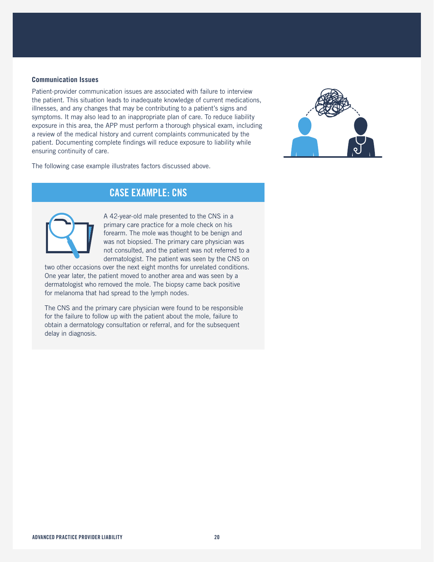### **Communication Issues**

Patient-provider communication issues are associated with failure to interview the patient. This situation leads to inadequate knowledge of current medications, illnesses, and any changes that may be contributing to a patient's signs and symptoms. It may also lead to an inappropriate plan of care. To reduce liability exposure in this area, the APP must perform a thorough physical exam, including a review of the medical history and current complaints communicated by the patient. Documenting complete findings will reduce exposure to liability while ensuring continuity of care.





### **CASE EXAMPLE: CNS**



A 42-year-old male presented to the CNS in a primary care practice for a mole check on his forearm. The mole was thought to be benign and was not biopsied. The primary care physician was not consulted, and the patient was not referred to a dermatologist. The patient was seen by the CNS on

two other occasions over the next eight months for unrelated conditions. One year later, the patient moved to another area and was seen by a dermatologist who removed the mole. The biopsy came back positive for melanoma that had spread to the lymph nodes.

The CNS and the primary care physician were found to be responsible for the failure to follow up with the patient about the mole, failure to obtain a dermatology consultation or referral, and for the subsequent delay in diagnosis.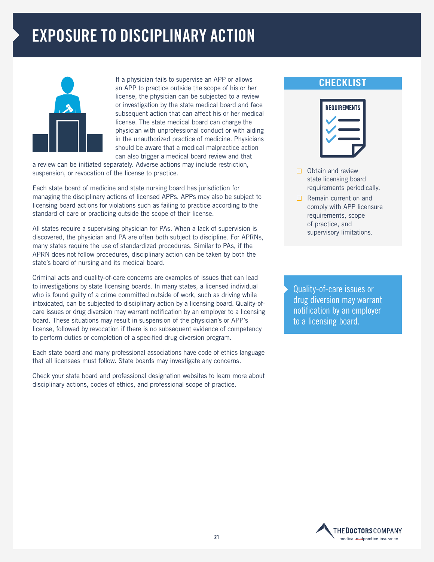# **EXPOSURE TO DISCIPLINARY ACTION**



If a physician fails to supervise an APP or allows an APP to practice outside the scope of his or her license, the physician can be subjected to a review or investigation by the state medical board and face subsequent action that can affect his or her medical license. The state medical board can charge the physician with unprofessional conduct or with aiding in the unauthorized practice of medicine. Physicians should be aware that a medical malpractice action can also trigger a medical board review and that

a review can be initiated separately. Adverse actions may include restriction, suspension, or revocation of the license to practice.

Each state board of medicine and state nursing board has jurisdiction for managing the disciplinary actions of licensed APPs. APPs may also be subject to licensing board actions for violations such as failing to practice according to the standard of care or practicing outside the scope of their license.

All states require a supervising physician for PAs. When a lack of supervision is discovered, the physician and PA are often both subject to discipline. For APRNs, many states require the use of standardized procedures. Similar to PAs, if the APRN does not follow procedures, disciplinary action can be taken by both the state's board of nursing and its medical board.

Criminal acts and quality-of-care concerns are examples of issues that can lead to investigations by state licensing boards. In many states, a licensed individual who is found guilty of a crime committed outside of work, such as driving while intoxicated, can be subjected to disciplinary action by a licensing board. Quality-ofcare issues or drug diversion may warrant notification by an employer to a licensing board. These situations may result in suspension of the physician's or APP's license, followed by revocation if there is no subsequent evidence of competency to perform duties or completion of a specified drug diversion program.

Each state board and many professional associations have code of ethics language that all licensees must follow. State boards may investigate any concerns.

Check your state board and professional designation websites to learn more about disciplinary actions, codes of ethics, and professional scope of practice.

### **CHECKLIST**



- $\Box$  Obtain and review state licensing board requirements periodically.
- $\Box$  Remain current on and comply with APP licensure requirements, scope of practice, and supervisory limitations.

Quality-of-care issues or drug diversion may warrant notification by an employer to a licensing board.

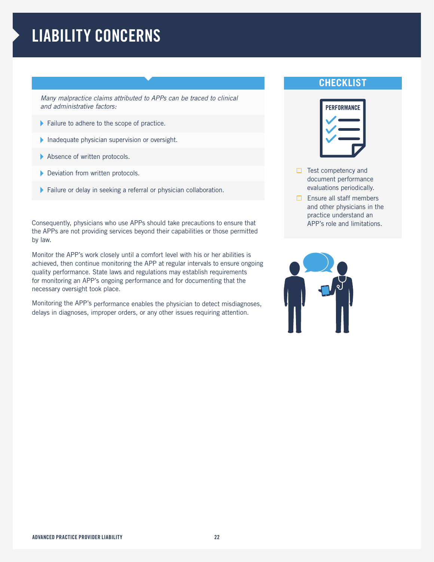# **LIABILITY CONCERNS**

*Many malpractice claims attributed to APPs can be traced to clinical and administrative factors:* 

- Failure to adhere to the scope of practice.
- Inadequate physician supervision or oversight.
- Absence of written protocols.
- Deviation from written protocols.
- Failure or delay in seeking a referral or physician collaboration.

Consequently, physicians who use APPs should take precautions to ensure that the APPs are not providing services beyond their capabilities or those permitted by law.

Monitor the APP's work closely until a comfort level with his or her abilities is achieved, then continue monitoring the APP at regular intervals to ensure ongoing quality performance. State laws and regulations may establish requirements for monitoring an APP's ongoing performance and for documenting that the necessary oversight took place.

Monitoring the APP's performance enables the physician to detect misdiagnoses, delays in diagnoses, improper orders, or any other issues requiring attention.

### **CHECKLIST**



- $\Box$  Test competency and document performance evaluations periodically.
- $\Box$  Ensure all staff members and other physicians in the practice understand an APP's role and limitations.

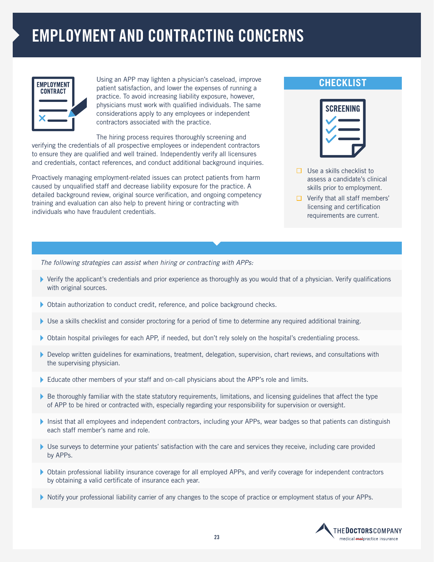# **EMPLOYMENT AND CONTRACTING CONCERNS**

| <b>EMPLOYMENT</b><br><b>CONTRACT</b> |  |
|--------------------------------------|--|
|                                      |  |

Using an APP may lighten a physician's caseload, improve patient satisfaction, and lower the expenses of running a practice. To avoid increasing liability exposure, however, physicians must work with qualified individuals. The same considerations apply to any employees or independent contractors associated with the practice.

The hiring process requires thoroughly screening and verifying the credentials of all prospective employees or independent contractors to ensure they are qualified and well trained. Independently verify all licensures and credentials, contact references, and conduct additional background inquiries.

Proactively managing employment-related issues can protect patients from harm caused by unqualified staff and decrease liability exposure for the practice. A detailed background review, original source verification, and ongoing competency training and evaluation can also help to prevent hiring or contracting with individuals who have fraudulent credentials.

### **CHECKLIST**



- $\Box$  Use a skills checklist to assess a candidate's clinical skills prior to employment.
- $\Box$  Verify that all staff members' licensing and certification requirements are current.

*The following strategies can assist when hiring or contracting with APPs:* 

- Verify the applicant's credentials and prior experience as thoroughly as you would that of a physician. Verify qualifications with original sources.
- Obtain authorization to conduct credit, reference, and police background checks.
- Use a skills checklist and consider proctoring for a period of time to determine any required additional training.
- Obtain hospital privileges for each APP, if needed, but don't rely solely on the hospital's credentialing process.
- Develop written guidelines for examinations, treatment, delegation, supervision, chart reviews, and consultations with the supervising physician.
- Educate other members of your staff and on-call physicians about the APP's role and limits.
- $\blacktriangleright$  Be thoroughly familiar with the state statutory requirements, limitations, and licensing guidelines that affect the type of APP to be hired or contracted with, especially regarding your responsibility for supervision or oversight.
- Insist that all employees and independent contractors, including your APPs, wear badges so that patients can distinguish each staff member's name and role.
- Use surveys to determine your patients' satisfaction with the care and services they receive, including care provided by APPs.
- Obtain professional liability insurance coverage for all employed APPs, and verify coverage for independent contractors by obtaining a valid certificate of insurance each year.
- Notify your professional liability carrier of any changes to the scope of practice or employment status of your APPs.

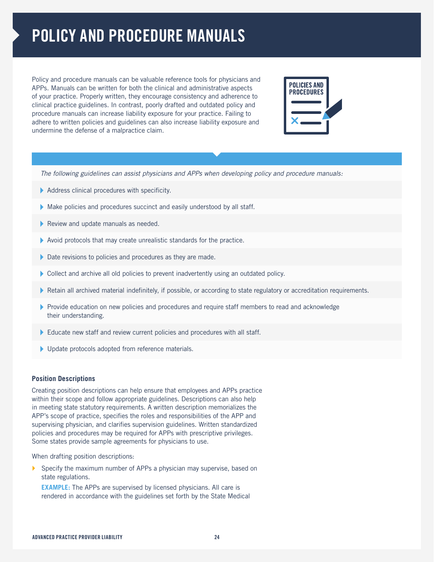# **POLICY AND PROCEDURE MANUALS**

Policy and procedure manuals can be valuable reference tools for physicians and APPs. Manuals can be written for both the clinical and administrative aspects of your practice. Properly written, they encourage consistency and adherence to clinical practice guidelines. In contrast, poorly drafted and outdated policy and procedure manuals can increase liability exposure for your practice. Failing to adhere to written policies and guidelines can also increase liability exposure and undermine the defense of a malpractice claim.



*The following guidelines can assist physicians and APPs when developing policy and procedure manuals:* 

- Address clinical procedures with specificity.
- Make policies and procedures succinct and easily understood by all staff.
- Review and update manuals as needed.
- Avoid protocols that may create unrealistic standards for the practice.
- Date revisions to policies and procedures as they are made.
- Collect and archive all old policies to prevent inadvertently using an outdated policy.
- Retain all archived material indefinitely, if possible, or according to state regulatory or accreditation requirements.
- Provide education on new policies and procedures and require staff members to read and acknowledge their understanding.
- Educate new staff and review current policies and procedures with all staff.
- Update protocols adopted from reference materials.

#### **Position Descriptions**

Creating position descriptions can help ensure that employees and APPs practice within their scope and follow appropriate guidelines. Descriptions can also help in meeting state statutory requirements. A written description memorializes the APP's scope of practice, specifies the roles and responsibilities of the APP and supervising physician, and clarifies supervision guidelines. Written standardized policies and procedures may be required for APPs with prescriptive privileges. Some states provide sample agreements for physicians to use.

When drafting position descriptions:

Specify the maximum number of APPs a physician may supervise, based on state regulations.

**EXAMPLE:** The APPs are supervised by licensed physicians. All care is rendered in accordance with the guidelines set forth by the State Medical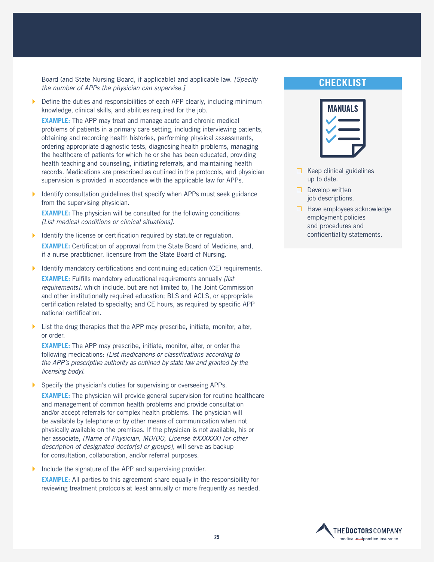Board (and State Nursing Board, if applicable) and applicable law. *[Specify the number of APPs the physician can supervise.]*

 Define the duties and responsibilities of each APP clearly, including minimum knowledge, clinical skills, and abilities required for the job.

**EXAMPLE:** The APP may treat and manage acute and chronic medical problems of patients in a primary care setting, including interviewing patients, obtaining and recording health histories, performing physical assessments, ordering appropriate diagnostic tests, diagnosing health problems, managing the healthcare of patients for which he or she has been educated, providing health teaching and counseling, initiating referrals, and maintaining health records. Medications are prescribed as outlined in the protocols, and physician supervision is provided in accordance with the applicable law for APPs.

 Identify consultation guidelines that specify when APPs must seek guidance from the supervising physician.

**EXAMPLE:** The physician will be consulted for the following conditions: *[List medical conditions or clinical situations]*.

- Identify the license or certification required by statute or regulation. **EXAMPLE:** Certification of approval from the State Board of Medicine, and, if a nurse practitioner, licensure from the State Board of Nursing.
- Identify mandatory certifications and continuing education (CE) requirements. **EXAMPLE:** Fulfills mandatory educational requirements annually *[list requirements]*, which include, but are not limited to, The Joint Commission and other institutionally required education; BLS and ACLS, or appropriate certification related to specialty; and CE hours, as required by specific APP national certification.
- List the drug therapies that the APP may prescribe, initiate, monitor, alter, or order.

**EXAMPLE:** The APP may prescribe, initiate, monitor, alter, or order the following medications: *[List medications or classifications according to the APP's prescriptive authority as outlined by state law and granted by the licensing body]*.

Specify the physician's duties for supervising or overseeing APPs.

**EXAMPLE:** The physician will provide general supervision for routine healthcare and management of common health problems and provide consultation and/or accept referrals for complex health problems. The physician will be available by telephone or by other means of communication when not physically available on the premises. If the physician is not available, his or her associate, *[Name of Physician, MD/DO, License #XXXXXX] [or other description of designated doctor(s) or groups]*, will serve as backup for consultation, collaboration, and/or referral purposes.

Include the signature of the APP and supervising provider.

**EXAMPLE:** All parties to this agreement share equally in the responsibility for reviewing treatment protocols at least annually or more frequently as needed.

### **CHECKLIST**



- $\Box$  Keep clinical guidelines up to date.
- $\Box$  Develop written job descriptions.
- $\Box$  Have employees acknowledge employment policies and procedures and confidentiality statements.

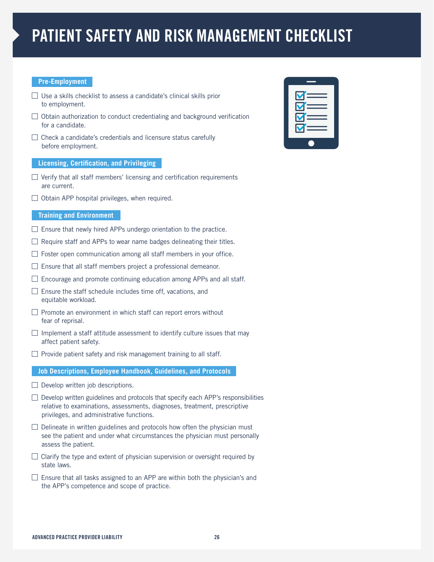# **PATIENT SAFETY AND RISK MANAGEMENT CHECKLIST**

### **Pre-Employment**

- $\Box$  Use a skills checklist to assess a candidate's clinical skills prior to employment.
- $\Box$  Obtain authorization to conduct credentialing and background verification for a candidate.
- $\Box$  Check a candidate's credentials and licensure status carefully before employment.

### **Licensing, Certification, and Privileging**

- $\Box$  Verify that all staff members' licensing and certification requirements are current.
- $\Box$  Obtain APP hospital privileges, when required.

### **Training and Environment**

- $\Box$  Ensure that newly hired APPs undergo orientation to the practice.
- $\Box$  Require staff and APPs to wear name badges delineating their titles.
- $\Box$  Foster open communication among all staff members in your office.
- $\Box$  Ensure that all staff members project a professional demeanor.
- $\Box$  Encourage and promote continuing education among APPs and all staff.
- $\Box$  Ensure the staff schedule includes time off, vacations, and equitable workload.
- $\Box$  Promote an environment in which staff can report errors without fear of reprisal.
- $\Box$  Implement a staff attitude assessment to identify culture issues that may affect patient safety.
- $\Box$  Provide patient safety and risk management training to all staff.

### **Job Descriptions, Employee Handbook, Guidelines, and Protocols**

- $\Box$  Develop written job descriptions.
- $\Box$  Develop written guidelines and protocols that specify each APP's responsibilities relative to examinations, assessments, diagnoses, treatment, prescriptive privileges, and administrative functions.
- $\Box$  Delineate in written guidelines and protocols how often the physician must see the patient and under what circumstances the physician must personally assess the patient.
- $\Box$  Clarify the type and extent of physician supervision or oversight required by state laws.
- $\Box$  Ensure that all tasks assigned to an APP are within both the physician's and the APP's competence and scope of practice.

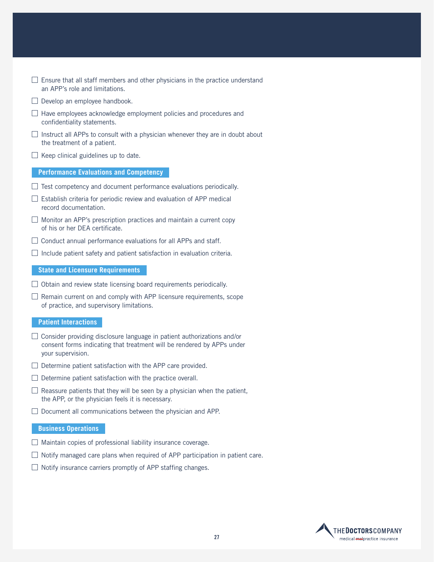- $\Box$  Ensure that all staff members and other physicians in the practice understand an APP's role and limitations.
- $\Box$  Develop an employee handbook.
- $\Box$  Have employees acknowledge employment policies and procedures and confidentiality statements.
- $\Box$  Instruct all APPs to consult with a physician whenever they are in doubt about the treatment of a patient.
- $\Box$  Keep clinical guidelines up to date.

#### **Performance Evaluations and Competency**

- $\Box$  Test competency and document performance evaluations periodically.
- $\Box$  Establish criteria for periodic review and evaluation of APP medical record documentation.
- $\Box$  Monitor an APP's prescription practices and maintain a current copy of his or her DEA certificate.
- $\Box$  Conduct annual performance evaluations for all APPs and staff.
- $\Box$  Include patient safety and patient satisfaction in evaluation criteria.

#### **State and Licensure Requirements**

- $\Box$  Obtain and review state licensing board requirements periodically.
- $\Box$  Remain current on and comply with APP licensure requirements, scope of practice, and supervisory limitations.

#### **Patient Interactions**

- $\Box$  Consider providing disclosure language in patient authorizations and/or consent forms indicating that treatment will be rendered by APPs under your supervision.
- $\Box$  Determine patient satisfaction with the APP care provided.
- $\Box$  Determine patient satisfaction with the practice overall.
- $\Box$  Reassure patients that they will be seen by a physician when the patient, the APP, or the physician feels it is necessary.
- $\Box$  Document all communications between the physician and APP.

#### **Business Operations**

- $\Box$  Maintain copies of professional liability insurance coverage.
- $\Box$  Notify managed care plans when required of APP participation in patient care.
- $\Box$  Notify insurance carriers promptly of APP staffing changes.

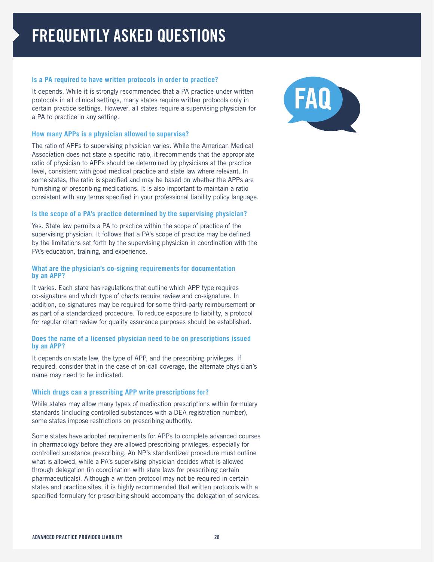### **Is a PA required to have written protocols in order to practice?**

It depends. While it is strongly recommended that a PA practice under written protocols in all clinical settings, many states require written protocols only in certain practice settings. However, all states require a supervising physician for a PA to practice in any setting.

### **How many APPs is a physician allowed to supervise?**

The ratio of APPs to supervising physician varies. While the American Medical Association does not state a specific ratio, it recommends that the appropriate ratio of physician to APPs should be determined by physicians at the practice level, consistent with good medical practice and state law where relevant. In some states, the ratio is specified and may be based on whether the APPs are furnishing or prescribing medications. It is also important to maintain a ratio consistent with any terms specified in your professional liability policy language.

### **Is the scope of a PA's practice determined by the supervising physician?**

Yes. State law permits a PA to practice within the scope of practice of the supervising physician. It follows that a PA's scope of practice may be defined by the limitations set forth by the supervising physician in coordination with the PA's education, training, and experience.

### **What are the physician's co-signing requirements for documentation by an APP?**

It varies. Each state has regulations that outline which APP type requires co-signature and which type of charts require review and co-signature. In addition, co-signatures may be required for some third-party reimbursement or as part of a standardized procedure. To reduce exposure to liability, a protocol for regular chart review for quality assurance purposes should be established.

### **Does the name of a licensed physician need to be on prescriptions issued by an APP?**

It depends on state law, the type of APP, and the prescribing privileges. If required, consider that in the case of on-call coverage, the alternate physician's name may need to be indicated.

### **Which drugs can a prescribing APP write prescriptions for?**

While states may allow many types of medication prescriptions within formulary standards (including controlled substances with a DEA registration number), some states impose restrictions on prescribing authority.

Some states have adopted requirements for APPs to complete advanced courses in pharmacology before they are allowed prescribing privileges, especially for controlled substance prescribing. An NP's standardized procedure must outline what is allowed, while a PA's supervising physician decides what is allowed through delegation (in coordination with state laws for prescribing certain pharmaceuticals). Although a written protocol may not be required in certain states and practice sites, it is highly recommended that written protocols with a specified formulary for prescribing should accompany the delegation of services.

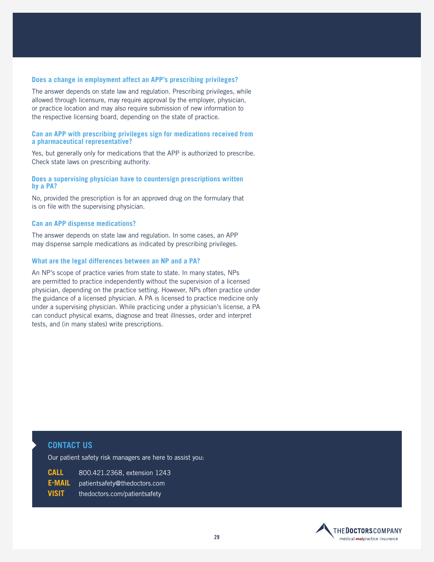### **Does a change in employment affect an APP's prescribing privileges?**

The answer depends on state law and regulation. Prescribing privileges, while allowed through licensure, may require approval by the employer, physician, or practice location and may also require submission of new information to the respective licensing board, depending on the state of practice.

#### **Can an APP with prescribing privileges sign for medications received from a pharmaceutical representative?**

Yes, but generally only for medications that the APP is authorized to prescribe. Check state laws on prescribing authority.

### **Does a supervising physician have to countersign prescriptions written by a PA?**

No, provided the prescription is for an approved drug on the formulary that is on file with the supervising physician.

### **Can an APP dispense medications?**

The answer depends on state law and regulation. In some cases, an APP may dispense sample medications as indicated by prescribing privileges.

### **What are the legal differences between an NP and a PA?**

An NP's scope of practice varies from state to state. In many states, NPs are permitted to practice independently without the supervision of a licensed physician, depending on the practice setting. However, NPs often practice under the guidance of a licensed physician. A PA is licensed to practice medicine only under a supervising physician. While practicing under a physician's license, a PA can conduct physical exams, diagnose and treat illnesses, order and interpret tests, and (in many states) write prescriptions.

### **CONTACT US**

Our patient safety risk managers are here to assist you:

| CALL         | 800.421.2368. extension 1243   |
|--------------|--------------------------------|
| E-MAIL       | ∩ patientsafetv@thedoctors.com |
| <b>VISIT</b> | thedoctors.com/patientsafety   |